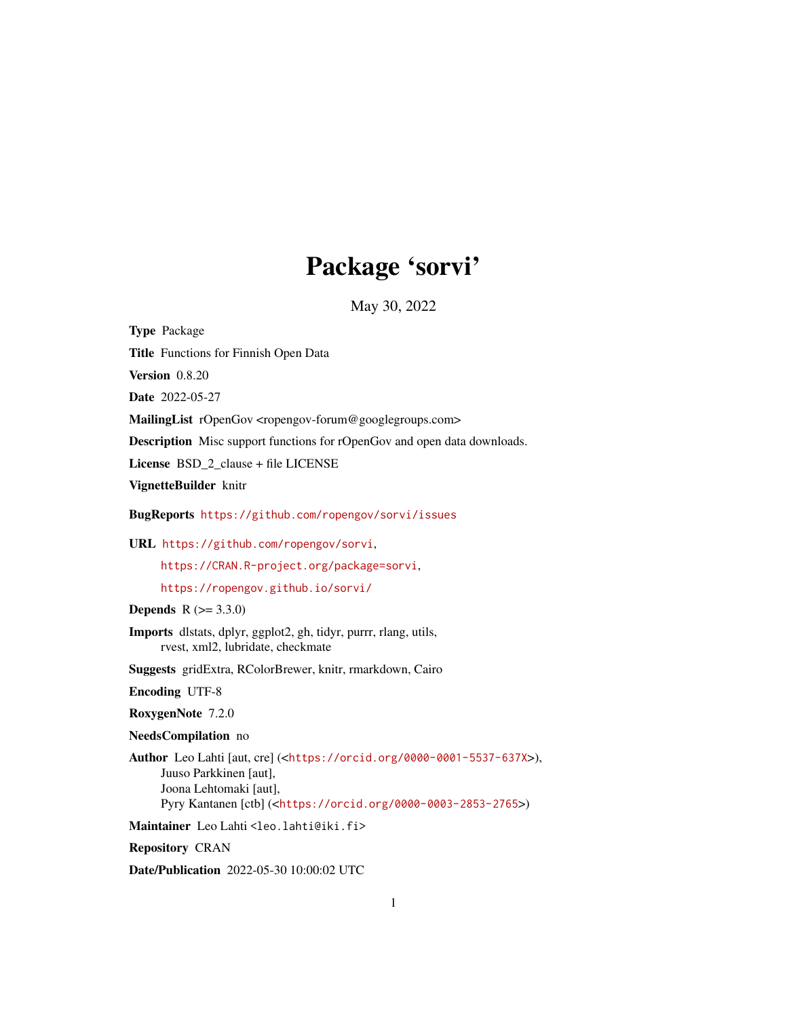## Package 'sorvi'

May 30, 2022

Type Package

Title Functions for Finnish Open Data

Version 0.8.20

Date 2022-05-27

MailingList rOpenGov <ropengov-forum@googlegroups.com>

Description Misc support functions for rOpenGov and open data downloads.

License BSD\_2\_clause + file LICENSE

VignetteBuilder knitr

BugReports <https://github.com/ropengov/sorvi/issues>

URL <https://github.com/ropengov/sorvi>,

<https://CRAN.R-project.org/package=sorvi>,

<https://ropengov.github.io/sorvi/>

**Depends**  $R (= 3.3.0)$ 

Imports dlstats, dplyr, ggplot2, gh, tidyr, purrr, rlang, utils, rvest, xml2, lubridate, checkmate

Suggests gridExtra, RColorBrewer, knitr, rmarkdown, Cairo

Encoding UTF-8

RoxygenNote 7.2.0

NeedsCompilation no

Author Leo Lahti [aut, cre] (<<https://orcid.org/0000-0001-5537-637X>>), Juuso Parkkinen [aut], Joona Lehtomaki [aut], Pyry Kantanen [ctb] (<<https://orcid.org/0000-0003-2853-2765>>)

Maintainer Leo Lahti <leo.lahti@iki.fi>

Repository CRAN

Date/Publication 2022-05-30 10:00:02 UTC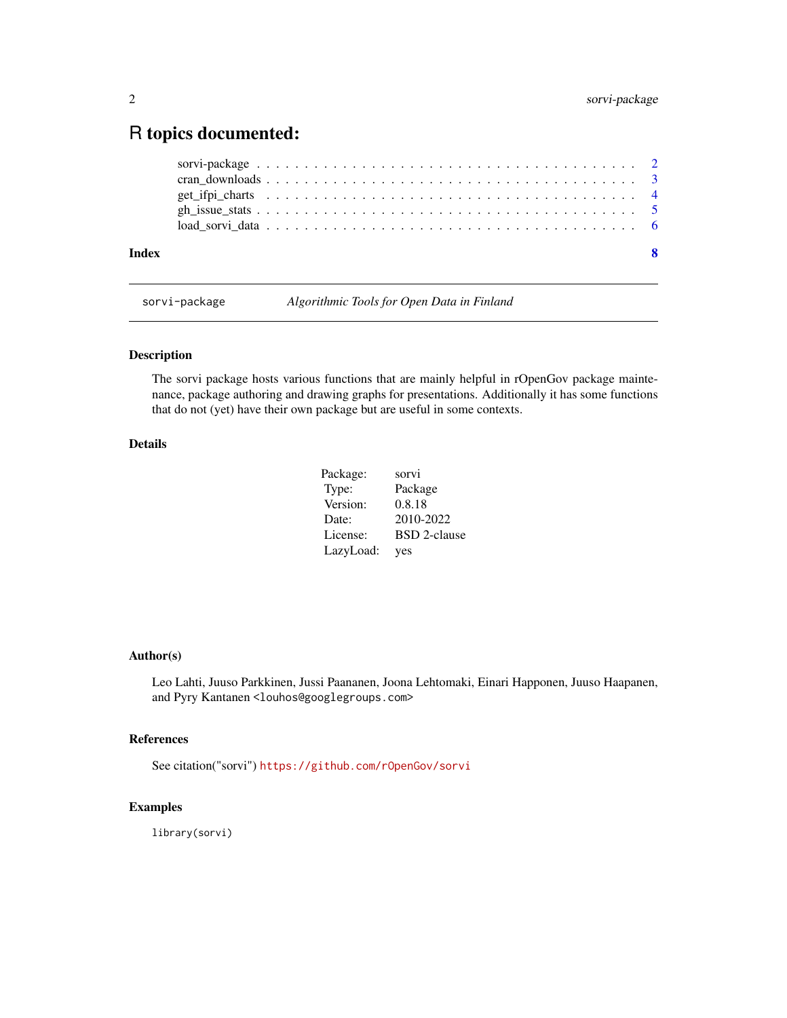### <span id="page-1-0"></span>R topics documented:

| Index |  |  |  |  |  |  |  |  |  |  |  |  |  |  |  |  |  |  | - 8 |
|-------|--|--|--|--|--|--|--|--|--|--|--|--|--|--|--|--|--|--|-----|
|       |  |  |  |  |  |  |  |  |  |  |  |  |  |  |  |  |  |  |     |
|       |  |  |  |  |  |  |  |  |  |  |  |  |  |  |  |  |  |  |     |
|       |  |  |  |  |  |  |  |  |  |  |  |  |  |  |  |  |  |  |     |
|       |  |  |  |  |  |  |  |  |  |  |  |  |  |  |  |  |  |  |     |
|       |  |  |  |  |  |  |  |  |  |  |  |  |  |  |  |  |  |  |     |

sorvi-package *Algorithmic Tools for Open Data in Finland*

#### Description

The sorvi package hosts various functions that are mainly helpful in rOpenGov package maintenance, package authoring and drawing graphs for presentations. Additionally it has some functions that do not (yet) have their own package but are useful in some contexts.

#### Details

| Package:  | sorvi               |
|-----------|---------------------|
| Type:     | Package             |
| Version:  | 0.8.18              |
| Date:     | 2010-2022           |
| License:  | <b>BSD</b> 2-clause |
| LazyLoad: | yes                 |

#### Author(s)

Leo Lahti, Juuso Parkkinen, Jussi Paananen, Joona Lehtomaki, Einari Happonen, Juuso Haapanen, and Pyry Kantanen <louhos@googlegroups.com>

#### References

See citation("sorvi") <https://github.com/rOpenGov/sorvi>

#### Examples

library(sorvi)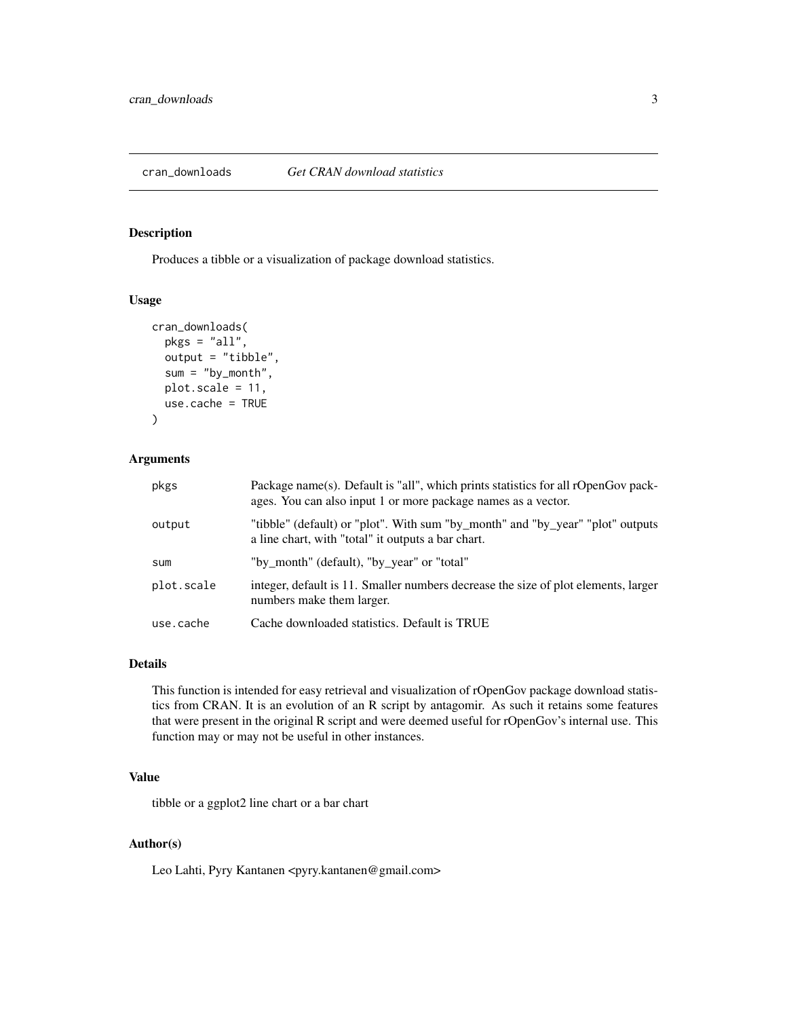<span id="page-2-0"></span>

#### Description

Produces a tibble or a visualization of package download statistics.

#### Usage

```
cran_downloads(
 pkgs = "all",output = "tibble",
  sum = "by_month",
  plot.scale = 11,
  use.cache = TRUE
)
```
#### Arguments

| pkgs       | Package name(s). Default is "all", which prints statistics for all rOpenGov pack-<br>ages. You can also input 1 or more package names as a vector. |
|------------|----------------------------------------------------------------------------------------------------------------------------------------------------|
| output     | "tibble" (default) or "plot". With sum "by_month" and "by_year" "plot" outputs<br>a line chart, with "total" it outputs a bar chart.               |
| sum        | "by_month" (default), "by_year" or "total"                                                                                                         |
| plot.scale | integer, default is 11. Smaller numbers decrease the size of plot elements, larger<br>numbers make them larger.                                    |
| use.cache  | Cache downloaded statistics. Default is TRUE                                                                                                       |

#### Details

This function is intended for easy retrieval and visualization of rOpenGov package download statistics from CRAN. It is an evolution of an R script by antagomir. As such it retains some features that were present in the original R script and were deemed useful for rOpenGov's internal use. This function may or may not be useful in other instances.

#### Value

tibble or a ggplot2 line chart or a bar chart

#### Author(s)

Leo Lahti, Pyry Kantanen <pyry.kantanen@gmail.com>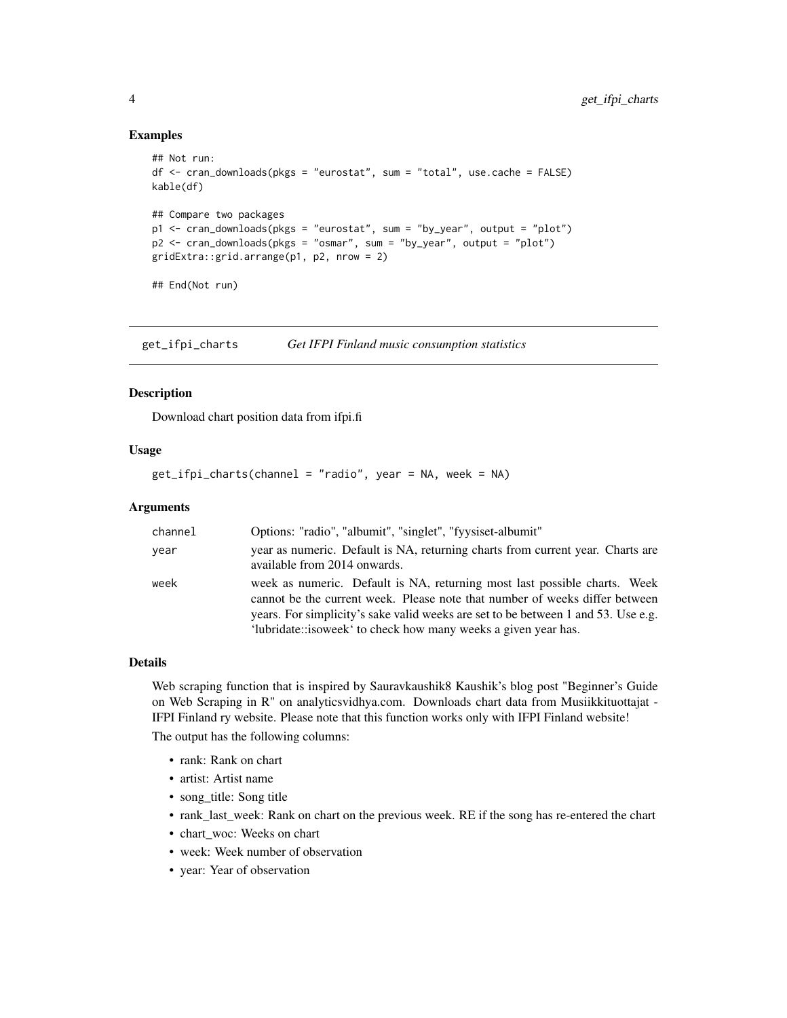#### Examples

```
## Not run:
df <- cran_downloads(pkgs = "eurostat", sum = "total", use.cache = FALSE)
kable(df)
## Compare two packages
p1 <- cran_downloads(pkgs = "eurostat", sum = "by_year", output = "plot")
p2 <- cran_downloads(pkgs = "osmar", sum = "by_year", output = "plot")
gridExtra::grid.arrange(p1, p2, nrow = 2)
## End(Not run)
```
get\_ifpi\_charts *Get IFPI Finland music consumption statistics*

#### Description

Download chart position data from ifpi.fi

#### Usage

get\_ifpi\_charts(channel = "radio", year = NA, week = NA)

#### Arguments

| channel | Options: "radio", "albumit", "singlet", "fyysiset-albumit"                                                                                                                                                                                                                                                      |
|---------|-----------------------------------------------------------------------------------------------------------------------------------------------------------------------------------------------------------------------------------------------------------------------------------------------------------------|
| year    | year as numeric. Default is NA, returning charts from current year. Charts are<br>available from 2014 onwards.                                                                                                                                                                                                  |
| week    | week as numeric. Default is NA, returning most last possible charts. Week<br>cannot be the current week. Please note that number of weeks differ between<br>years. For simplicity's sake valid weeks are set to be between 1 and 53. Use e.g.<br>'lubridate::isoweek' to check how many weeks a given year has. |

#### Details

Web scraping function that is inspired by Sauravkaushik8 Kaushik's blog post "Beginner's Guide on Web Scraping in R" on analyticsvidhya.com. Downloads chart data from Musiikkituottajat - IFPI Finland ry website. Please note that this function works only with IFPI Finland website!

The output has the following columns:

- rank: Rank on chart
- artist: Artist name
- song\_title: Song title
- rank\_last\_week: Rank on chart on the previous week. RE if the song has re-entered the chart
- chart\_woc: Weeks on chart
- week: Week number of observation
- year: Year of observation

<span id="page-3-0"></span>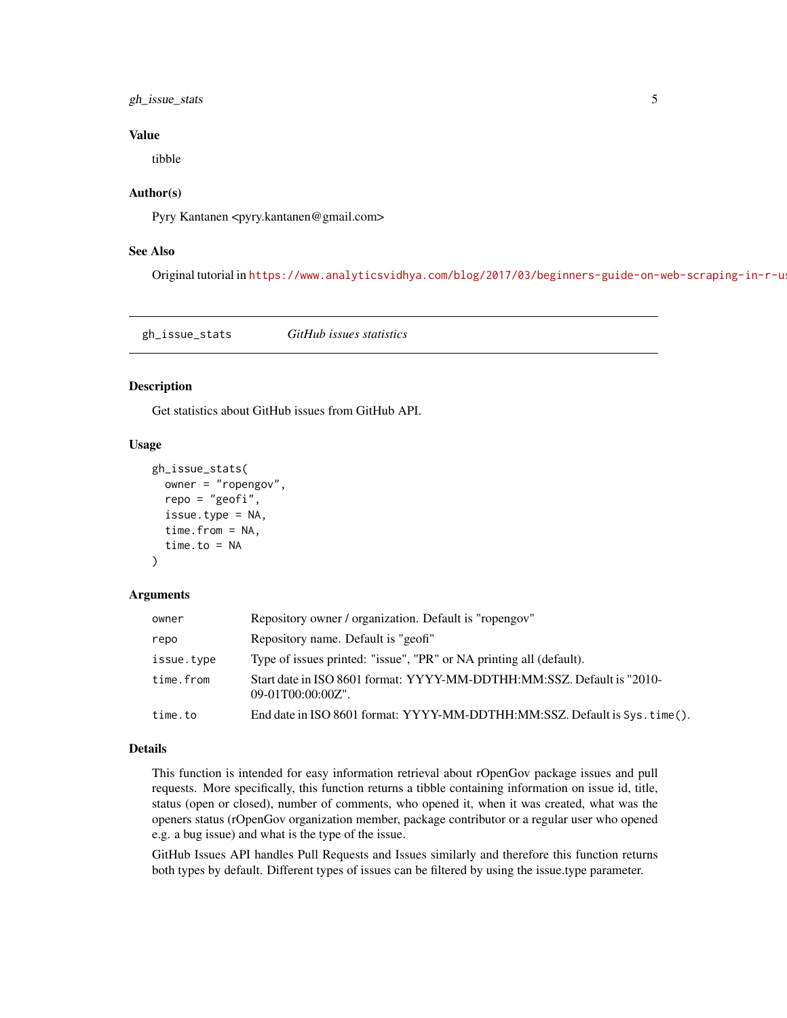#### <span id="page-4-0"></span>gh\_issue\_stats 5

#### Value

tibble

#### Author(s)

Pyry Kantanen <pyry.kantanen@gmail.com>

#### See Also

Original tutorial in https://www.analyticsvidhya.com/blog/2017/03/beginners-guide-on-web-scraping-in-r-u

gh\_issue\_stats *GitHub issues statistics*

#### Description

Get statistics about GitHub issues from GitHub API.

#### Usage

```
gh_issue_stats(
  owner = "ropengov",
  repo = "geofi",
  issue.type = NA,
  time.from = NA,
  time.to = NA
\lambda
```
#### **Arguments**

| owner      | Repository owner / organization. Default is "ropengov"                                         |
|------------|------------------------------------------------------------------------------------------------|
| repo       | Repository name. Default is "geofi"                                                            |
| issue.type | Type of issues printed: "issue", "PR" or NA printing all (default).                            |
| time.from  | Start date in ISO 8601 format: YYYY-MM-DDTHH:MM:SSZ. Default is "2010-<br>$09-01T00:00:00Z$ ". |
| time.to    | End date in ISO 8601 format: YYYY-MM-DDTHH:MM:SSZ. Default is Sys. time().                     |
|            |                                                                                                |

#### Details

This function is intended for easy information retrieval about rOpenGov package issues and pull requests. More specifically, this function returns a tibble containing information on issue id, title, status (open or closed), number of comments, who opened it, when it was created, what was the openers status (rOpenGov organization member, package contributor or a regular user who opened e.g. a bug issue) and what is the type of the issue.

GitHub Issues API handles Pull Requests and Issues similarly and therefore this function returns both types by default. Different types of issues can be filtered by using the issue.type parameter.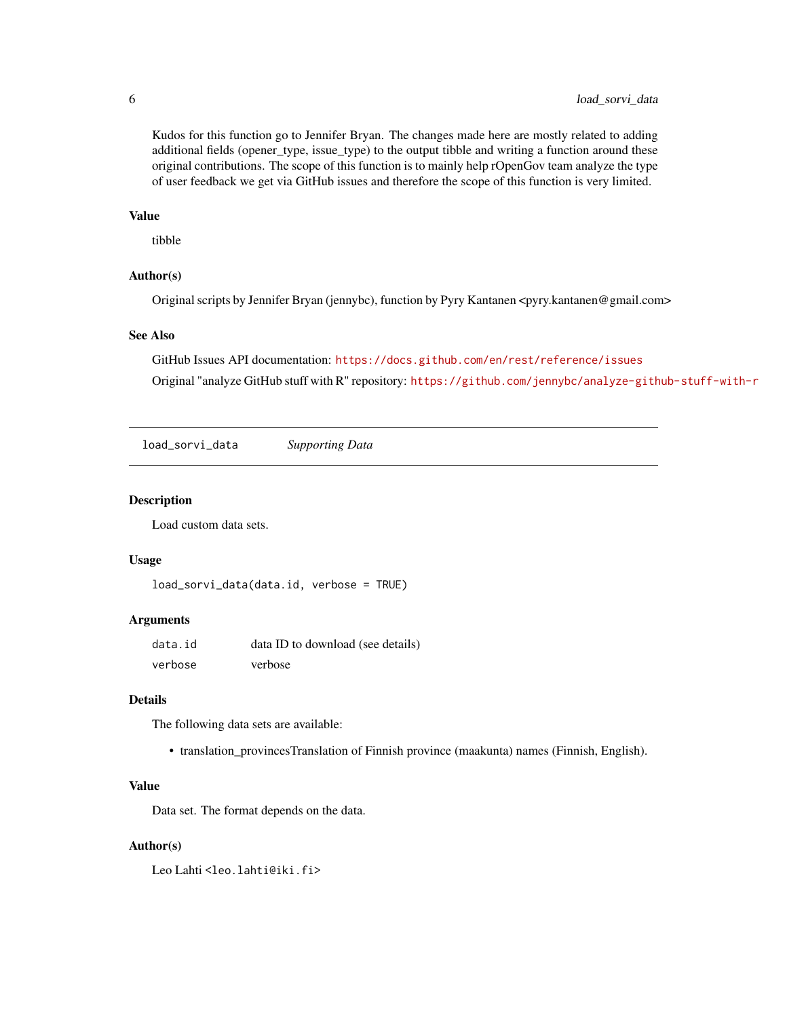<span id="page-5-0"></span>Kudos for this function go to Jennifer Bryan. The changes made here are mostly related to adding additional fields (opener\_type, issue\_type) to the output tibble and writing a function around these original contributions. The scope of this function is to mainly help rOpenGov team analyze the type of user feedback we get via GitHub issues and therefore the scope of this function is very limited.

#### Value

tibble

#### Author(s)

Original scripts by Jennifer Bryan (jennybc), function by Pyry Kantanen <pyry.kantanen@gmail.com>

#### See Also

GitHub Issues API documentation: <https://docs.github.com/en/rest/reference/issues> Original "analyze GitHub stuff with R" repository: <https://github.com/jennybc/analyze-github-stuff-with-r>

load\_sorvi\_data *Supporting Data*

#### Description

Load custom data sets.

#### Usage

```
load_sorvi_data(data.id, verbose = TRUE)
```
#### Arguments

| data.id | data ID to download (see details) |
|---------|-----------------------------------|
| verbose | verbose                           |

#### Details

The following data sets are available:

• translation\_provincesTranslation of Finnish province (maakunta) names (Finnish, English).

#### Value

Data set. The format depends on the data.

#### Author(s)

Leo Lahti<br />
Leo Lahti<br />
Leo Lahti<br />
Leo Lahti<br />
Leo Lahti<br />
Leo Lahti<br />
Leo Lahti<br />
Leo Lahti<br />
Leo Lahti<br />
Leo Lahti<br />
Leo Lahti<br />
Leo Lahti<br />
Leo Lahti<br />
Leo Lahti<br /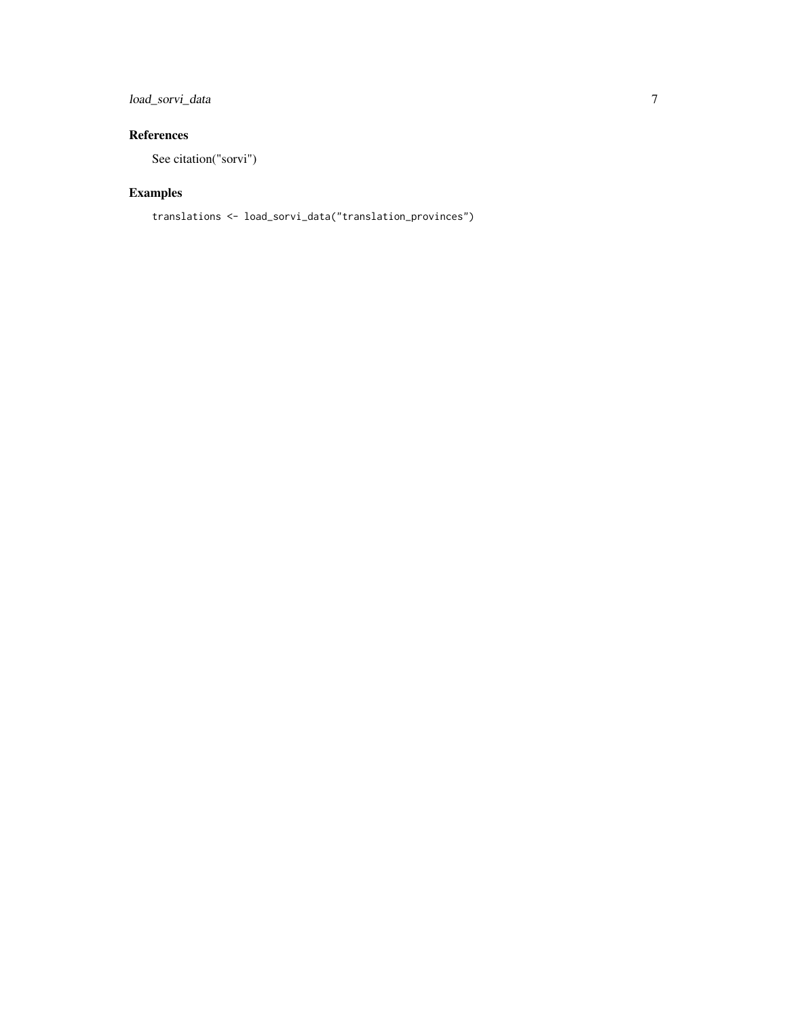#### load\_sorvi\_data 7

#### References

See citation("sorvi")

#### Examples

```
translations <- load_sorvi_data("translation_provinces")
```